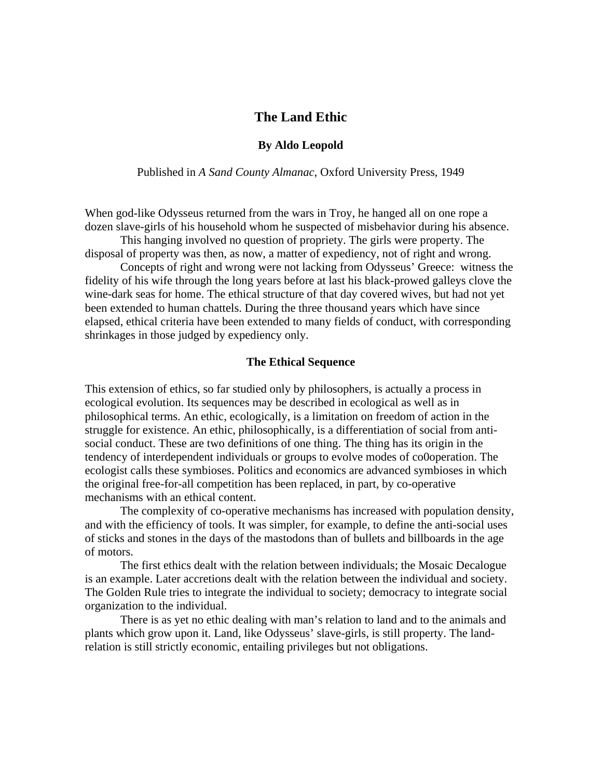# **The Land Ethic**

## **By Aldo Leopold**

Published in *A Sand County Almanac*, Oxford University Press, 1949

When god-like Odysseus returned from the wars in Troy, he hanged all on one rope a dozen slave-girls of his household whom he suspected of misbehavior during his absence.

 This hanging involved no question of propriety. The girls were property. The disposal of property was then, as now, a matter of expediency, not of right and wrong.

 Concepts of right and wrong were not lacking from Odysseus' Greece: witness the fidelity of his wife through the long years before at last his black-prowed galleys clove the wine-dark seas for home. The ethical structure of that day covered wives, but had not yet been extended to human chattels. During the three thousand years which have since elapsed, ethical criteria have been extended to many fields of conduct, with corresponding shrinkages in those judged by expediency only.

## **The Ethical Sequence**

This extension of ethics, so far studied only by philosophers, is actually a process in ecological evolution. Its sequences may be described in ecological as well as in philosophical terms. An ethic, ecologically, is a limitation on freedom of action in the struggle for existence. An ethic, philosophically, is a differentiation of social from antisocial conduct. These are two definitions of one thing. The thing has its origin in the tendency of interdependent individuals or groups to evolve modes of co0operation. The ecologist calls these symbioses. Politics and economics are advanced symbioses in which the original free-for-all competition has been replaced, in part, by co-operative mechanisms with an ethical content.

 The complexity of co-operative mechanisms has increased with population density, and with the efficiency of tools. It was simpler, for example, to define the anti-social uses of sticks and stones in the days of the mastodons than of bullets and billboards in the age of motors.

 The first ethics dealt with the relation between individuals; the Mosaic Decalogue is an example. Later accretions dealt with the relation between the individual and society. The Golden Rule tries to integrate the individual to society; democracy to integrate social organization to the individual.

 There is as yet no ethic dealing with man's relation to land and to the animals and plants which grow upon it. Land, like Odysseus' slave-girls, is still property. The landrelation is still strictly economic, entailing privileges but not obligations.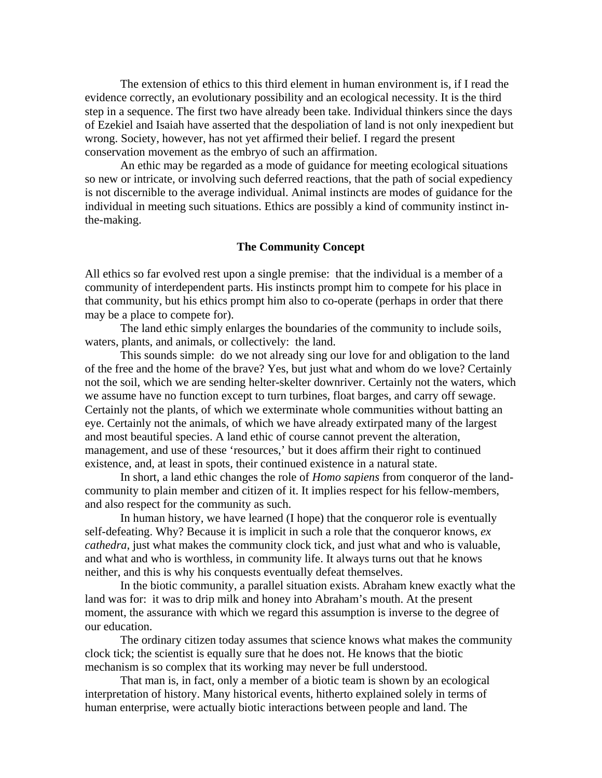The extension of ethics to this third element in human environment is, if I read the evidence correctly, an evolutionary possibility and an ecological necessity. It is the third step in a sequence. The first two have already been take. Individual thinkers since the days of Ezekiel and Isaiah have asserted that the despoliation of land is not only inexpedient but wrong. Society, however, has not yet affirmed their belief. I regard the present conservation movement as the embryo of such an affirmation.

 An ethic may be regarded as a mode of guidance for meeting ecological situations so new or intricate, or involving such deferred reactions, that the path of social expediency is not discernible to the average individual. Animal instincts are modes of guidance for the individual in meeting such situations. Ethics are possibly a kind of community instinct inthe-making.

#### **The Community Concept**

All ethics so far evolved rest upon a single premise: that the individual is a member of a community of interdependent parts. His instincts prompt him to compete for his place in that community, but his ethics prompt him also to co-operate (perhaps in order that there may be a place to compete for).

 The land ethic simply enlarges the boundaries of the community to include soils, waters, plants, and animals, or collectively: the land.

 This sounds simple: do we not already sing our love for and obligation to the land of the free and the home of the brave? Yes, but just what and whom do we love? Certainly not the soil, which we are sending helter-skelter downriver. Certainly not the waters, which we assume have no function except to turn turbines, float barges, and carry off sewage. Certainly not the plants, of which we exterminate whole communities without batting an eye. Certainly not the animals, of which we have already extirpated many of the largest and most beautiful species. A land ethic of course cannot prevent the alteration, management, and use of these 'resources,' but it does affirm their right to continued existence, and, at least in spots, their continued existence in a natural state.

 In short, a land ethic changes the role of *Homo sapiens* from conqueror of the landcommunity to plain member and citizen of it. It implies respect for his fellow-members, and also respect for the community as such.

 In human history, we have learned (I hope) that the conqueror role is eventually self-defeating. Why? Because it is implicit in such a role that the conqueror knows, *ex cathedra*, just what makes the community clock tick, and just what and who is valuable, and what and who is worthless, in community life. It always turns out that he knows neither, and this is why his conquests eventually defeat themselves.

 In the biotic community, a parallel situation exists. Abraham knew exactly what the land was for: it was to drip milk and honey into Abraham's mouth. At the present moment, the assurance with which we regard this assumption is inverse to the degree of our education.

 The ordinary citizen today assumes that science knows what makes the community clock tick; the scientist is equally sure that he does not. He knows that the biotic mechanism is so complex that its working may never be full understood.

 That man is, in fact, only a member of a biotic team is shown by an ecological interpretation of history. Many historical events, hitherto explained solely in terms of human enterprise, were actually biotic interactions between people and land. The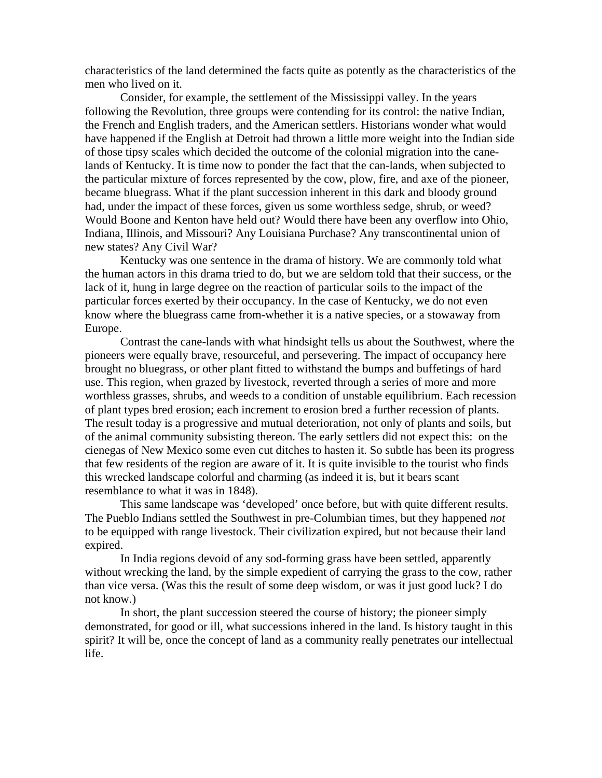characteristics of the land determined the facts quite as potently as the characteristics of the men who lived on it.

 Consider, for example, the settlement of the Mississippi valley. In the years following the Revolution, three groups were contending for its control: the native Indian, the French and English traders, and the American settlers. Historians wonder what would have happened if the English at Detroit had thrown a little more weight into the Indian side of those tipsy scales which decided the outcome of the colonial migration into the canelands of Kentucky. It is time now to ponder the fact that the can-lands, when subjected to the particular mixture of forces represented by the cow, plow, fire, and axe of the pioneer, became bluegrass. What if the plant succession inherent in this dark and bloody ground had, under the impact of these forces, given us some worthless sedge, shrub, or weed? Would Boone and Kenton have held out? Would there have been any overflow into Ohio, Indiana, Illinois, and Missouri? Any Louisiana Purchase? Any transcontinental union of new states? Any Civil War?

 Kentucky was one sentence in the drama of history. We are commonly told what the human actors in this drama tried to do, but we are seldom told that their success, or the lack of it, hung in large degree on the reaction of particular soils to the impact of the particular forces exerted by their occupancy. In the case of Kentucky, we do not even know where the bluegrass came from-whether it is a native species, or a stowaway from Europe.

 Contrast the cane-lands with what hindsight tells us about the Southwest, where the pioneers were equally brave, resourceful, and persevering. The impact of occupancy here brought no bluegrass, or other plant fitted to withstand the bumps and buffetings of hard use. This region, when grazed by livestock, reverted through a series of more and more worthless grasses, shrubs, and weeds to a condition of unstable equilibrium. Each recession of plant types bred erosion; each increment to erosion bred a further recession of plants. The result today is a progressive and mutual deterioration, not only of plants and soils, but of the animal community subsisting thereon. The early settlers did not expect this: on the cienegas of New Mexico some even cut ditches to hasten it. So subtle has been its progress that few residents of the region are aware of it. It is quite invisible to the tourist who finds this wrecked landscape colorful and charming (as indeed it is, but it bears scant resemblance to what it was in 1848).

 This same landscape was 'developed' once before, but with quite different results. The Pueblo Indians settled the Southwest in pre-Columbian times, but they happened *not* to be equipped with range livestock. Their civilization expired, but not because their land expired.

 In India regions devoid of any sod-forming grass have been settled, apparently without wrecking the land, by the simple expedient of carrying the grass to the cow, rather than vice versa. (Was this the result of some deep wisdom, or was it just good luck? I do not know.)

 In short, the plant succession steered the course of history; the pioneer simply demonstrated, for good or ill, what successions inhered in the land. Is history taught in this spirit? It will be, once the concept of land as a community really penetrates our intellectual life.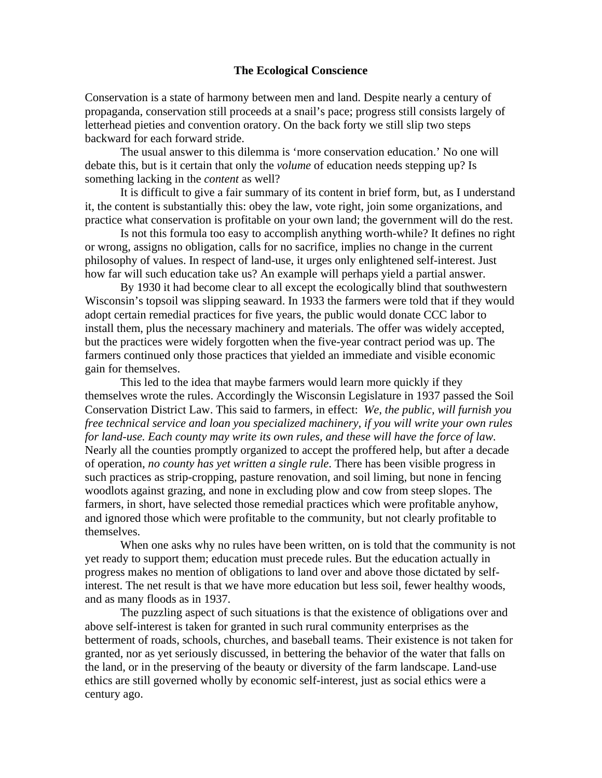## **The Ecological Conscience**

Conservation is a state of harmony between men and land. Despite nearly a century of propaganda, conservation still proceeds at a snail's pace; progress still consists largely of letterhead pieties and convention oratory. On the back forty we still slip two steps backward for each forward stride.

 The usual answer to this dilemma is 'more conservation education.' No one will debate this, but is it certain that only the *volume* of education needs stepping up? Is something lacking in the *content* as well?

 It is difficult to give a fair summary of its content in brief form, but, as I understand it, the content is substantially this: obey the law, vote right, join some organizations, and practice what conservation is profitable on your own land; the government will do the rest.

 Is not this formula too easy to accomplish anything worth-while? It defines no right or wrong, assigns no obligation, calls for no sacrifice, implies no change in the current philosophy of values. In respect of land-use, it urges only enlightened self-interest. Just how far will such education take us? An example will perhaps yield a partial answer.

 By 1930 it had become clear to all except the ecologically blind that southwestern Wisconsin's topsoil was slipping seaward. In 1933 the farmers were told that if they would adopt certain remedial practices for five years, the public would donate CCC labor to install them, plus the necessary machinery and materials. The offer was widely accepted, but the practices were widely forgotten when the five-year contract period was up. The farmers continued only those practices that yielded an immediate and visible economic gain for themselves.

 This led to the idea that maybe farmers would learn more quickly if they themselves wrote the rules. Accordingly the Wisconsin Legislature in 1937 passed the Soil Conservation District Law. This said to farmers, in effect: *We, the public, will furnish you free technical service and loan you specialized machinery, if you will write your own rules for land-use. Each county may write its own rules, and these will have the force of law*. Nearly all the counties promptly organized to accept the proffered help, but after a decade of operation, *no county has yet written a single rule*. There has been visible progress in such practices as strip-cropping, pasture renovation, and soil liming, but none in fencing woodlots against grazing, and none in excluding plow and cow from steep slopes. The farmers, in short, have selected those remedial practices which were profitable anyhow, and ignored those which were profitable to the community, but not clearly profitable to themselves.

 When one asks why no rules have been written, on is told that the community is not yet ready to support them; education must precede rules. But the education actually in progress makes no mention of obligations to land over and above those dictated by selfinterest. The net result is that we have more education but less soil, fewer healthy woods, and as many floods as in 1937.

 The puzzling aspect of such situations is that the existence of obligations over and above self-interest is taken for granted in such rural community enterprises as the betterment of roads, schools, churches, and baseball teams. Their existence is not taken for granted, nor as yet seriously discussed, in bettering the behavior of the water that falls on the land, or in the preserving of the beauty or diversity of the farm landscape. Land-use ethics are still governed wholly by economic self-interest, just as social ethics were a century ago.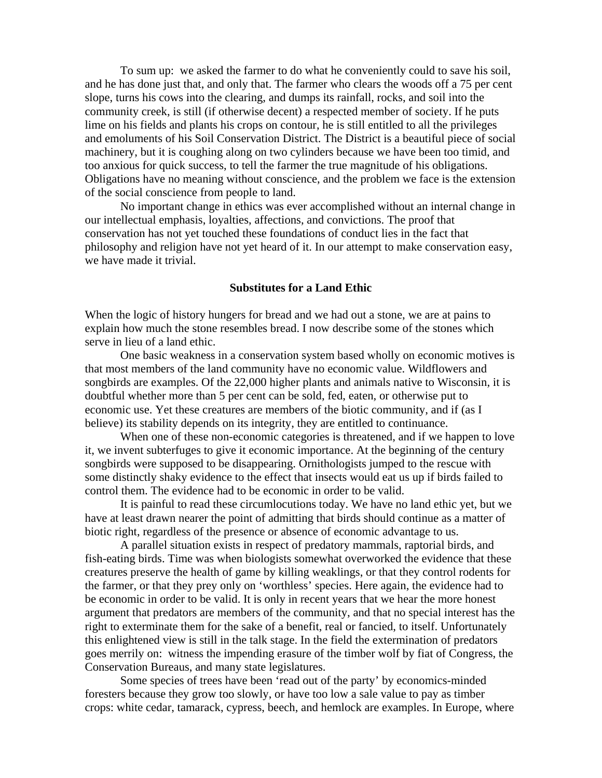To sum up: we asked the farmer to do what he conveniently could to save his soil, and he has done just that, and only that. The farmer who clears the woods off a 75 per cent slope, turns his cows into the clearing, and dumps its rainfall, rocks, and soil into the community creek, is still (if otherwise decent) a respected member of society. If he puts lime on his fields and plants his crops on contour, he is still entitled to all the privileges and emoluments of his Soil Conservation District. The District is a beautiful piece of social machinery, but it is coughing along on two cylinders because we have been too timid, and too anxious for quick success, to tell the farmer the true magnitude of his obligations. Obligations have no meaning without conscience, and the problem we face is the extension of the social conscience from people to land.

 No important change in ethics was ever accomplished without an internal change in our intellectual emphasis, loyalties, affections, and convictions. The proof that conservation has not yet touched these foundations of conduct lies in the fact that philosophy and religion have not yet heard of it. In our attempt to make conservation easy, we have made it trivial.

## **Substitutes for a Land Ethic**

When the logic of history hungers for bread and we had out a stone, we are at pains to explain how much the stone resembles bread. I now describe some of the stones which serve in lieu of a land ethic.

 One basic weakness in a conservation system based wholly on economic motives is that most members of the land community have no economic value. Wildflowers and songbirds are examples. Of the 22,000 higher plants and animals native to Wisconsin, it is doubtful whether more than 5 per cent can be sold, fed, eaten, or otherwise put to economic use. Yet these creatures are members of the biotic community, and if (as I believe) its stability depends on its integrity, they are entitled to continuance.

 When one of these non-economic categories is threatened, and if we happen to love it, we invent subterfuges to give it economic importance. At the beginning of the century songbirds were supposed to be disappearing. Ornithologists jumped to the rescue with some distinctly shaky evidence to the effect that insects would eat us up if birds failed to control them. The evidence had to be economic in order to be valid.

 It is painful to read these circumlocutions today. We have no land ethic yet, but we have at least drawn nearer the point of admitting that birds should continue as a matter of biotic right, regardless of the presence or absence of economic advantage to us.

 A parallel situation exists in respect of predatory mammals, raptorial birds, and fish-eating birds. Time was when biologists somewhat overworked the evidence that these creatures preserve the health of game by killing weaklings, or that they control rodents for the farmer, or that they prey only on 'worthless' species. Here again, the evidence had to be economic in order to be valid. It is only in recent years that we hear the more honest argument that predators are members of the community, and that no special interest has the right to exterminate them for the sake of a benefit, real or fancied, to itself. Unfortunately this enlightened view is still in the talk stage. In the field the extermination of predators goes merrily on: witness the impending erasure of the timber wolf by fiat of Congress, the Conservation Bureaus, and many state legislatures.

 Some species of trees have been 'read out of the party' by economics-minded foresters because they grow too slowly, or have too low a sale value to pay as timber crops: white cedar, tamarack, cypress, beech, and hemlock are examples. In Europe, where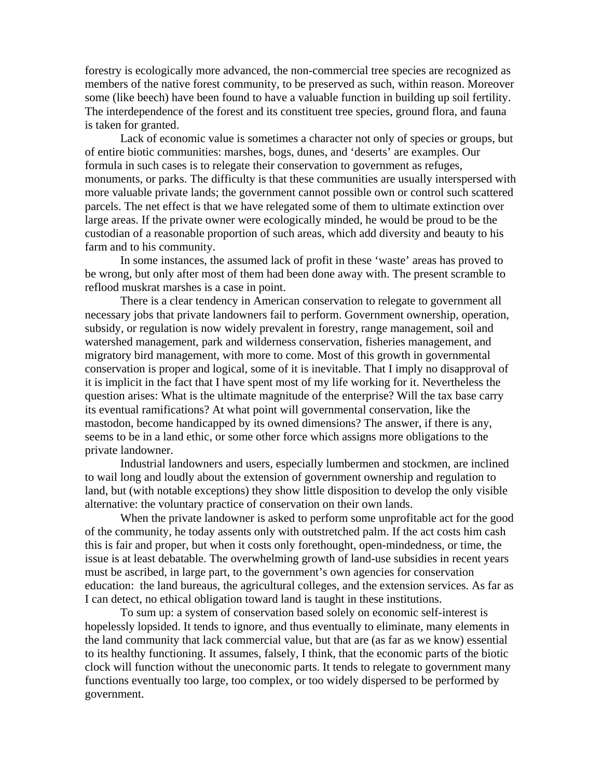forestry is ecologically more advanced, the non-commercial tree species are recognized as members of the native forest community, to be preserved as such, within reason. Moreover some (like beech) have been found to have a valuable function in building up soil fertility. The interdependence of the forest and its constituent tree species, ground flora, and fauna is taken for granted.

 Lack of economic value is sometimes a character not only of species or groups, but of entire biotic communities: marshes, bogs, dunes, and 'deserts' are examples. Our formula in such cases is to relegate their conservation to government as refuges, monuments, or parks. The difficulty is that these communities are usually interspersed with more valuable private lands; the government cannot possible own or control such scattered parcels. The net effect is that we have relegated some of them to ultimate extinction over large areas. If the private owner were ecologically minded, he would be proud to be the custodian of a reasonable proportion of such areas, which add diversity and beauty to his farm and to his community.

 In some instances, the assumed lack of profit in these 'waste' areas has proved to be wrong, but only after most of them had been done away with. The present scramble to reflood muskrat marshes is a case in point.

 There is a clear tendency in American conservation to relegate to government all necessary jobs that private landowners fail to perform. Government ownership, operation, subsidy, or regulation is now widely prevalent in forestry, range management, soil and watershed management, park and wilderness conservation, fisheries management, and migratory bird management, with more to come. Most of this growth in governmental conservation is proper and logical, some of it is inevitable. That I imply no disapproval of it is implicit in the fact that I have spent most of my life working for it. Nevertheless the question arises: What is the ultimate magnitude of the enterprise? Will the tax base carry its eventual ramifications? At what point will governmental conservation, like the mastodon, become handicapped by its owned dimensions? The answer, if there is any, seems to be in a land ethic, or some other force which assigns more obligations to the private landowner.

 Industrial landowners and users, especially lumbermen and stockmen, are inclined to wail long and loudly about the extension of government ownership and regulation to land, but (with notable exceptions) they show little disposition to develop the only visible alternative: the voluntary practice of conservation on their own lands.

 When the private landowner is asked to perform some unprofitable act for the good of the community, he today assents only with outstretched palm. If the act costs him cash this is fair and proper, but when it costs only forethought, open-mindedness, or time, the issue is at least debatable. The overwhelming growth of land-use subsidies in recent years must be ascribed, in large part, to the government's own agencies for conservation education: the land bureaus, the agricultural colleges, and the extension services. As far as I can detect, no ethical obligation toward land is taught in these institutions.

 To sum up: a system of conservation based solely on economic self-interest is hopelessly lopsided. It tends to ignore, and thus eventually to eliminate, many elements in the land community that lack commercial value, but that are (as far as we know) essential to its healthy functioning. It assumes, falsely, I think, that the economic parts of the biotic clock will function without the uneconomic parts. It tends to relegate to government many functions eventually too large, too complex, or too widely dispersed to be performed by government.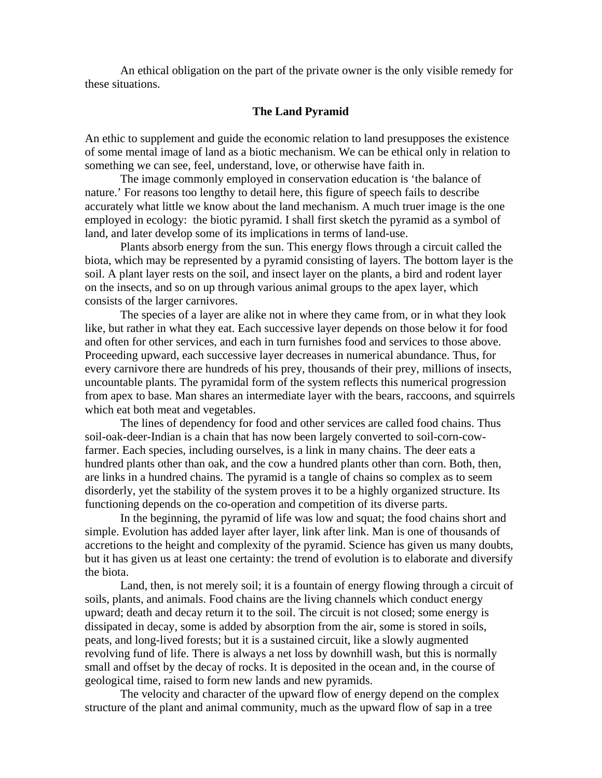An ethical obligation on the part of the private owner is the only visible remedy for these situations.

## **The Land Pyramid**

An ethic to supplement and guide the economic relation to land presupposes the existence of some mental image of land as a biotic mechanism. We can be ethical only in relation to something we can see, feel, understand, love, or otherwise have faith in.

 The image commonly employed in conservation education is 'the balance of nature.' For reasons too lengthy to detail here, this figure of speech fails to describe accurately what little we know about the land mechanism. A much truer image is the one employed in ecology: the biotic pyramid. I shall first sketch the pyramid as a symbol of land, and later develop some of its implications in terms of land-use.

 Plants absorb energy from the sun. This energy flows through a circuit called the biota, which may be represented by a pyramid consisting of layers. The bottom layer is the soil. A plant layer rests on the soil, and insect layer on the plants, a bird and rodent layer on the insects, and so on up through various animal groups to the apex layer, which consists of the larger carnivores.

 The species of a layer are alike not in where they came from, or in what they look like, but rather in what they eat. Each successive layer depends on those below it for food and often for other services, and each in turn furnishes food and services to those above. Proceeding upward, each successive layer decreases in numerical abundance. Thus, for every carnivore there are hundreds of his prey, thousands of their prey, millions of insects, uncountable plants. The pyramidal form of the system reflects this numerical progression from apex to base. Man shares an intermediate layer with the bears, raccoons, and squirrels which eat both meat and vegetables.

 The lines of dependency for food and other services are called food chains. Thus soil-oak-deer-Indian is a chain that has now been largely converted to soil-corn-cowfarmer. Each species, including ourselves, is a link in many chains. The deer eats a hundred plants other than oak, and the cow a hundred plants other than corn. Both, then, are links in a hundred chains. The pyramid is a tangle of chains so complex as to seem disorderly, yet the stability of the system proves it to be a highly organized structure. Its functioning depends on the co-operation and competition of its diverse parts.

 In the beginning, the pyramid of life was low and squat; the food chains short and simple. Evolution has added layer after layer, link after link. Man is one of thousands of accretions to the height and complexity of the pyramid. Science has given us many doubts, but it has given us at least one certainty: the trend of evolution is to elaborate and diversify the biota.

 Land, then, is not merely soil; it is a fountain of energy flowing through a circuit of soils, plants, and animals. Food chains are the living channels which conduct energy upward; death and decay return it to the soil. The circuit is not closed; some energy is dissipated in decay, some is added by absorption from the air, some is stored in soils, peats, and long-lived forests; but it is a sustained circuit, like a slowly augmented revolving fund of life. There is always a net loss by downhill wash, but this is normally small and offset by the decay of rocks. It is deposited in the ocean and, in the course of geological time, raised to form new lands and new pyramids.

 The velocity and character of the upward flow of energy depend on the complex structure of the plant and animal community, much as the upward flow of sap in a tree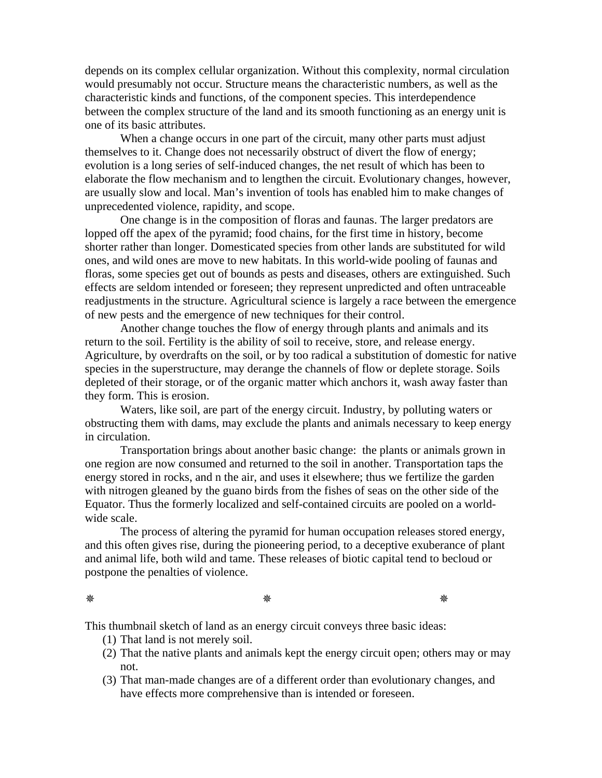depends on its complex cellular organization. Without this complexity, normal circulation would presumably not occur. Structure means the characteristic numbers, as well as the characteristic kinds and functions, of the component species. This interdependence between the complex structure of the land and its smooth functioning as an energy unit is one of its basic attributes.

 When a change occurs in one part of the circuit, many other parts must adjust themselves to it. Change does not necessarily obstruct of divert the flow of energy; evolution is a long series of self-induced changes, the net result of which has been to elaborate the flow mechanism and to lengthen the circuit. Evolutionary changes, however, are usually slow and local. Man's invention of tools has enabled him to make changes of unprecedented violence, rapidity, and scope.

 One change is in the composition of floras and faunas. The larger predators are lopped off the apex of the pyramid; food chains, for the first time in history, become shorter rather than longer. Domesticated species from other lands are substituted for wild ones, and wild ones are move to new habitats. In this world-wide pooling of faunas and floras, some species get out of bounds as pests and diseases, others are extinguished. Such effects are seldom intended or foreseen; they represent unpredicted and often untraceable readjustments in the structure. Agricultural science is largely a race between the emergence of new pests and the emergence of new techniques for their control.

 Another change touches the flow of energy through plants and animals and its return to the soil. Fertility is the ability of soil to receive, store, and release energy. Agriculture, by overdrafts on the soil, or by too radical a substitution of domestic for native species in the superstructure, may derange the channels of flow or deplete storage. Soils depleted of their storage, or of the organic matter which anchors it, wash away faster than they form. This is erosion.

 Waters, like soil, are part of the energy circuit. Industry, by polluting waters or obstructing them with dams, may exclude the plants and animals necessary to keep energy in circulation.

 Transportation brings about another basic change: the plants or animals grown in one region are now consumed and returned to the soil in another. Transportation taps the energy stored in rocks, and n the air, and uses it elsewhere; thus we fertilize the garden with nitrogen gleaned by the guano birds from the fishes of seas on the other side of the Equator. Thus the formerly localized and self-contained circuits are pooled on a worldwide scale.

 The process of altering the pyramid for human occupation releases stored energy, and this often gives rise, during the pioneering period, to a deceptive exuberance of plant and animal life, both wild and tame. These releases of biotic capital tend to becloud or postpone the penalties of violence.

This thumbnail sketch of land as an energy circuit conveys three basic ideas:

- (1) That land is not merely soil.
- (2) That the native plants and animals kept the energy circuit open; others may or may not.
- (3) That man-made changes are of a different order than evolutionary changes, and have effects more comprehensive than is intended or foreseen.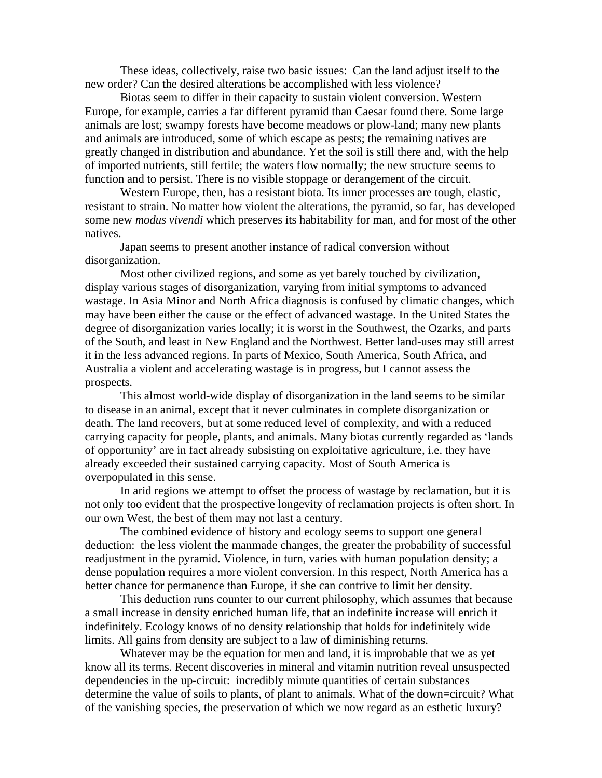These ideas, collectively, raise two basic issues: Can the land adjust itself to the new order? Can the desired alterations be accomplished with less violence?

Biotas seem to differ in their capacity to sustain violent conversion. Western Europe, for example, carries a far different pyramid than Caesar found there. Some large animals are lost; swampy forests have become meadows or plow-land; many new plants and animals are introduced, some of which escape as pests; the remaining natives are greatly changed in distribution and abundance. Yet the soil is still there and, with the help of imported nutrients, still fertile; the waters flow normally; the new structure seems to function and to persist. There is no visible stoppage or derangement of the circuit.

Western Europe, then, has a resistant biota. Its inner processes are tough, elastic, resistant to strain. No matter how violent the alterations, the pyramid, so far, has developed some new *modus vivendi* which preserves its habitability for man, and for most of the other natives.

Japan seems to present another instance of radical conversion without disorganization.

Most other civilized regions, and some as yet barely touched by civilization, display various stages of disorganization, varying from initial symptoms to advanced wastage. In Asia Minor and North Africa diagnosis is confused by climatic changes, which may have been either the cause or the effect of advanced wastage. In the United States the degree of disorganization varies locally; it is worst in the Southwest, the Ozarks, and parts of the South, and least in New England and the Northwest. Better land-uses may still arrest it in the less advanced regions. In parts of Mexico, South America, South Africa, and Australia a violent and accelerating wastage is in progress, but I cannot assess the prospects.

This almost world-wide display of disorganization in the land seems to be similar to disease in an animal, except that it never culminates in complete disorganization or death. The land recovers, but at some reduced level of complexity, and with a reduced carrying capacity for people, plants, and animals. Many biotas currently regarded as 'lands of opportunity' are in fact already subsisting on exploitative agriculture, i.e. they have already exceeded their sustained carrying capacity. Most of South America is overpopulated in this sense.

In arid regions we attempt to offset the process of wastage by reclamation, but it is not only too evident that the prospective longevity of reclamation projects is often short. In our own West, the best of them may not last a century.

The combined evidence of history and ecology seems to support one general deduction: the less violent the manmade changes, the greater the probability of successful readjustment in the pyramid. Violence, in turn, varies with human population density; a dense population requires a more violent conversion. In this respect, North America has a better chance for permanence than Europe, if she can contrive to limit her density.

This deduction runs counter to our current philosophy, which assumes that because a small increase in density enriched human life, that an indefinite increase will enrich it indefinitely. Ecology knows of no density relationship that holds for indefinitely wide limits. All gains from density are subject to a law of diminishing returns.

Whatever may be the equation for men and land, it is improbable that we as yet know all its terms. Recent discoveries in mineral and vitamin nutrition reveal unsuspected dependencies in the up-circuit: incredibly minute quantities of certain substances determine the value of soils to plants, of plant to animals. What of the down=circuit? What of the vanishing species, the preservation of which we now regard as an esthetic luxury?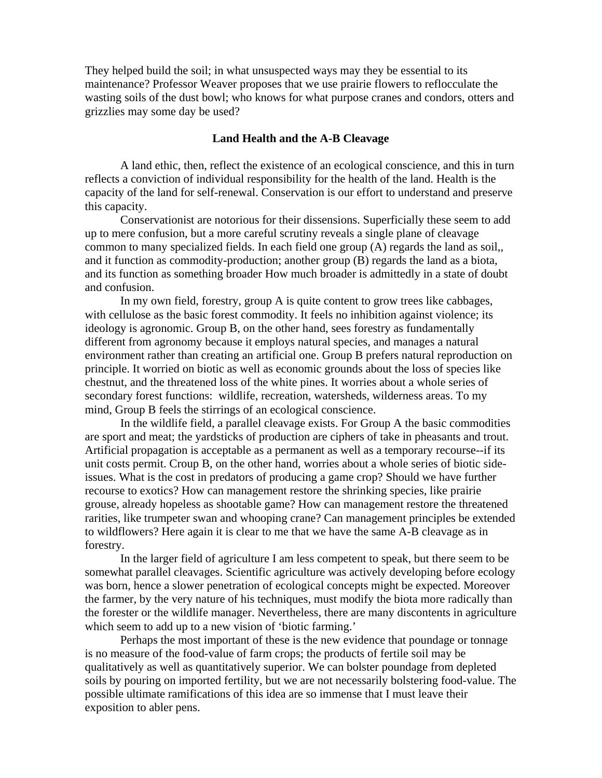They helped build the soil; in what unsuspected ways may they be essential to its maintenance? Professor Weaver proposes that we use prairie flowers to reflocculate the wasting soils of the dust bowl; who knows for what purpose cranes and condors, otters and grizzlies may some day be used?

## **Land Health and the A-B Cleavage**

 A land ethic, then, reflect the existence of an ecological conscience, and this in turn reflects a conviction of individual responsibility for the health of the land. Health is the capacity of the land for self-renewal. Conservation is our effort to understand and preserve this capacity.

 Conservationist are notorious for their dissensions. Superficially these seem to add up to mere confusion, but a more careful scrutiny reveals a single plane of cleavage common to many specialized fields. In each field one group (A) regards the land as soil,, and it function as commodity-production; another group (B) regards the land as a biota, and its function as something broader How much broader is admittedly in a state of doubt and confusion.

 In my own field, forestry, group A is quite content to grow trees like cabbages, with cellulose as the basic forest commodity. It feels no inhibition against violence; its ideology is agronomic. Group B, on the other hand, sees forestry as fundamentally different from agronomy because it employs natural species, and manages a natural environment rather than creating an artificial one. Group B prefers natural reproduction on principle. It worried on biotic as well as economic grounds about the loss of species like chestnut, and the threatened loss of the white pines. It worries about a whole series of secondary forest functions: wildlife, recreation, watersheds, wilderness areas. To my mind, Group B feels the stirrings of an ecological conscience.

 In the wildlife field, a parallel cleavage exists. For Group A the basic commodities are sport and meat; the yardsticks of production are ciphers of take in pheasants and trout. Artificial propagation is acceptable as a permanent as well as a temporary recourse--if its unit costs permit. Croup B, on the other hand, worries about a whole series of biotic sideissues. What is the cost in predators of producing a game crop? Should we have further recourse to exotics? How can management restore the shrinking species, like prairie grouse, already hopeless as shootable game? How can management restore the threatened rarities, like trumpeter swan and whooping crane? Can management principles be extended to wildflowers? Here again it is clear to me that we have the same A-B cleavage as in forestry.

 In the larger field of agriculture I am less competent to speak, but there seem to be somewhat parallel cleavages. Scientific agriculture was actively developing before ecology was born, hence a slower penetration of ecological concepts might be expected. Moreover the farmer, by the very nature of his techniques, must modify the biota more radically than the forester or the wildlife manager. Nevertheless, there are many discontents in agriculture which seem to add up to a new vision of 'biotic farming.'

 Perhaps the most important of these is the new evidence that poundage or tonnage is no measure of the food-value of farm crops; the products of fertile soil may be qualitatively as well as quantitatively superior. We can bolster poundage from depleted soils by pouring on imported fertility, but we are not necessarily bolstering food-value. The possible ultimate ramifications of this idea are so immense that I must leave their exposition to abler pens.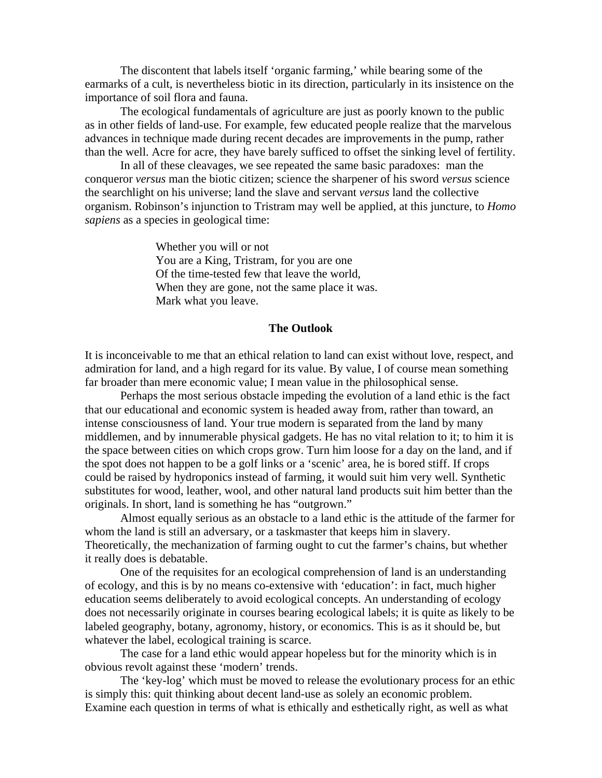The discontent that labels itself 'organic farming,' while bearing some of the earmarks of a cult, is nevertheless biotic in its direction, particularly in its insistence on the importance of soil flora and fauna.

 The ecological fundamentals of agriculture are just as poorly known to the public as in other fields of land-use. For example, few educated people realize that the marvelous advances in technique made during recent decades are improvements in the pump, rather than the well. Acre for acre, they have barely sufficed to offset the sinking level of fertility.

 In all of these cleavages, we see repeated the same basic paradoxes: man the conqueror *versus* man the biotic citizen; science the sharpener of his sword *versus* science the searchlight on his universe; land the slave and servant *versus* land the collective organism. Robinson's injunction to Tristram may well be applied, at this juncture, to *Homo sapiens* as a species in geological time:

> Whether you will or not You are a King, Tristram, for you are one Of the time-tested few that leave the world, When they are gone, not the same place it was. Mark what you leave.

## **The Outlook**

It is inconceivable to me that an ethical relation to land can exist without love, respect, and admiration for land, and a high regard for its value. By value, I of course mean something far broader than mere economic value; I mean value in the philosophical sense.

 Perhaps the most serious obstacle impeding the evolution of a land ethic is the fact that our educational and economic system is headed away from, rather than toward, an intense consciousness of land. Your true modern is separated from the land by many middlemen, and by innumerable physical gadgets. He has no vital relation to it; to him it is the space between cities on which crops grow. Turn him loose for a day on the land, and if the spot does not happen to be a golf links or a 'scenic' area, he is bored stiff. If crops could be raised by hydroponics instead of farming, it would suit him very well. Synthetic substitutes for wood, leather, wool, and other natural land products suit him better than the originals. In short, land is something he has "outgrown."

 Almost equally serious as an obstacle to a land ethic is the attitude of the farmer for whom the land is still an adversary, or a taskmaster that keeps him in slavery. Theoretically, the mechanization of farming ought to cut the farmer's chains, but whether it really does is debatable.

 One of the requisites for an ecological comprehension of land is an understanding of ecology, and this is by no means co-extensive with 'education': in fact, much higher education seems deliberately to avoid ecological concepts. An understanding of ecology does not necessarily originate in courses bearing ecological labels; it is quite as likely to be labeled geography, botany, agronomy, history, or economics. This is as it should be, but whatever the label, ecological training is scarce.

 The case for a land ethic would appear hopeless but for the minority which is in obvious revolt against these 'modern' trends.

 The 'key-log' which must be moved to release the evolutionary process for an ethic is simply this: quit thinking about decent land-use as solely an economic problem. Examine each question in terms of what is ethically and esthetically right, as well as what